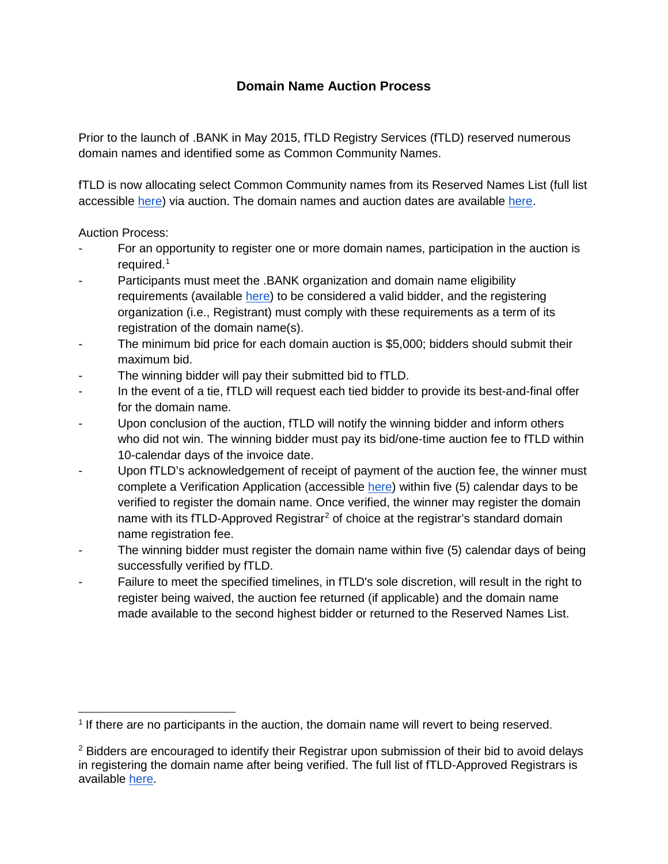## **Domain Name Auction Process**

Prior to the launch of .BANK in May 2015, fTLD Registry Services (fTLD) reserved numerous domain names and identified some as Common Community Names.

fTLD is now allocating select Common Community names from its Reserved Names List (full list accessible [here\)](https://www.register.bank/reserved-names/) via auction. The domain names and auction dates are available [here.](https://www.register.bank/reserved-names#auctions)

## Auction Process:

- For an opportunity to register one or more domain names, participation in the auction is required.<sup>[1](#page-0-0)</sup>
- Participants must meet the .BANK organization and domain name eligibility requirements (available [here\)](https://www.register.bank/eligibility/) to be considered a valid bidder, and the registering organization (i.e., Registrant) must comply with these requirements as a term of its registration of the domain name(s).
- The minimum bid price for each domain auction is \$5,000; bidders should submit their maximum bid.
- The winning bidder will pay their submitted bid to fTLD.
- In the event of a tie, fTLD will request each tied bidder to provide its best-and-final offer for the domain name.
- Upon conclusion of the auction, fTLD will notify the winning bidder and inform others who did not win. The winning bidder must pay its bid/one-time auction fee to fTLD within 10-calendar days of the invoice date.
- Upon fTLD's acknowledgement of receipt of payment of the auction fee, the winner must complete a Verification Application (accessible [here\)](https://www.register.bank/get-started/) within five (5) calendar days to be verified to register the domain name. Once verified, the winner may register the domain name with its fTLD-Approved Registrar<sup>[2](#page-0-1)</sup> of choice at the registrar's standard domain name registration fee.
- The winning bidder must register the domain name within five (5) calendar days of being successfully verified by fTLD.
- Failure to meet the specified timelines, in fTLD's sole discretion, will result in the right to register being waived, the auction fee returned (if applicable) and the domain name made available to the second highest bidder or returned to the Reserved Names List.

<span id="page-0-0"></span> <sup>1</sup> If there are no participants in the auction, the domain name will revert to being reserved.

<span id="page-0-1"></span><sup>2</sup> Bidders are encouraged to identify their Registrar upon submission of their bid to avoid delays in registering the domain name after being verified. The full list of fTLD-Approved Registrars is available [here.](https://www.register.bank/registrars/)